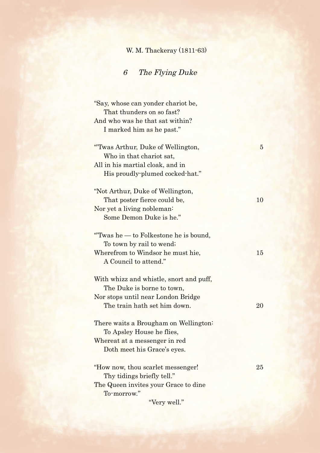## W. M. Thackeray (1811-63)

## 6 The Flying Duke

| "Say, whose can yonder chariot be,      |                |
|-----------------------------------------|----------------|
| That thunders on so fast?               |                |
| And who was he that sat within?         |                |
| I marked him as he past."               |                |
|                                         |                |
| "Twas Arthur, Duke of Wellington,       | $\overline{5}$ |
| Who in that chariot sat,                |                |
| All in his martial cloak, and in        |                |
| His proudly-plumed cocked-hat."         |                |
|                                         |                |
| "Not Arthur, Duke of Wellington,        |                |
| That poster fierce could be,            | 10             |
| Nor yet a living nobleman:              |                |
| Some Demon Duke is he."                 |                |
| "Twas he - to Folkestone he is bound,   |                |
| To town by rail to wend;                |                |
| Wherefrom to Windsor he must hie,       | 15             |
| A Council to attend."                   |                |
| With whizz and whistle, snort and puff, |                |
| The Duke is borne to town,              |                |
| Nor stops until near London Bridge      |                |
| The train hath set him down.            | 20             |
|                                         |                |
| There waits a Brougham on Wellington:   |                |
| To Apsley House he flies,               |                |
| Whereat at a messenger in red           |                |
| Doth meet his Grace's eyes.             |                |
| "How now, thou scarlet messenger!       | 25             |
| Thy tidings briefly tell."              |                |
| The Queen invites your Grace to dine    |                |
| To-morrow."                             |                |
| "Very well."                            |                |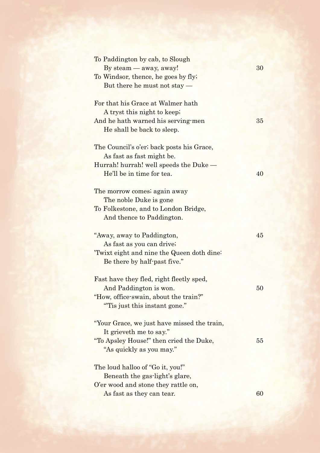| To Paddington by cab, to Slough             |    |
|---------------------------------------------|----|
| By steam — away, away!                      | 30 |
| To Windsor, thence, he goes by fly;         |    |
| But there he must not stay —                |    |
|                                             |    |
| For that his Grace at Walmer hath           |    |
| A tryst this night to keep;                 |    |
| And he hath warned his serving-men          | 35 |
| He shall be back to sleep.                  |    |
|                                             |    |
| The Council's o'er; back posts his Grace,   |    |
| As fast as fast might be.                   |    |
| Hurrah! hurrah! well speeds the Duke —      |    |
| He'll be in time for tea.                   | 40 |
|                                             |    |
| The morrow comes, again away                |    |
| The noble Duke is gone                      |    |
| To Folkestone, and to London Bridge,        |    |
| And thence to Paddington.                   |    |
|                                             |    |
| "Away, away to Paddington,                  | 45 |
| As fast as you can drive;                   |    |
| 'Twixt eight and nine the Queen doth dine:  |    |
| Be there by half-past five."                |    |
|                                             |    |
| Fast have they fled, right fleetly sped,    |    |
| And Paddington is won.                      | 50 |
| "How, office swain, about the train?"       |    |
| "Tis just this instant gone."               |    |
|                                             |    |
| "Your Grace, we just have missed the train, |    |
| It grieveth me to say."                     |    |
| "To Apsley House!" then cried the Duke,     | 55 |
|                                             |    |
| "As quickly as you may."                    |    |
|                                             |    |
| The loud halloo of "Go it, you!"            |    |
| Beneath the gas-light's glare,              |    |
| O'er wood and stone they rattle on,         |    |
| As fast as they can tear.                   | 60 |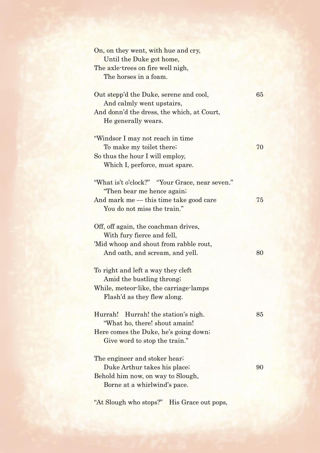| On, on they went, with hue and cry,            |    |
|------------------------------------------------|----|
| Until the Duke got home,                       |    |
| The axle-trees on fire well nigh,              |    |
| The horses in a foam.                          |    |
| Out stepp'd the Duke, serene and cool,         | 65 |
| And calmly went upstairs,                      |    |
| And donn'd the dress, the which, at Court,     |    |
| He generally wears.                            |    |
| "Windsor I may not reach in time               |    |
| To make my toilet there;                       | 70 |
| So thus the hour I will employ,                |    |
| Which I, perforce, must spare.                 |    |
|                                                |    |
| "What is't o'clock?" "Your Grace, near seven." |    |
| "Then bear me hence again;                     |    |
| And mark me — this time take good care         | 75 |
| You do not miss the train."                    |    |
| Off, off again, the coachman drives,           |    |
| With fury fierce and fell,                     |    |
| 'Mid whoop and shout from rabble rout,         |    |
| And oath, and scream, and yell.                | 80 |
|                                                |    |
| To right and left a way they cleft             |    |
| Amid the bustling throng;                      |    |
| While, meteor-like, the carriage-lamps         |    |
| Flash'd as they flew along.                    |    |
| Hurrah! the station's nigh.<br>Hurrah!         | 85 |
| "What ho, there! shout amain!                  |    |
| Here comes the Duke, he's going down;          |    |
| Give word to stop the train."                  |    |
|                                                |    |
| The engineer and stoker hear;                  |    |
| Duke Arthur takes his place;                   | 90 |
| Behold him now, on way to Slough,              |    |
| Borne at a whirlwind's pace.                   |    |
|                                                |    |

"At Slough who stops?" His Grace out pops,